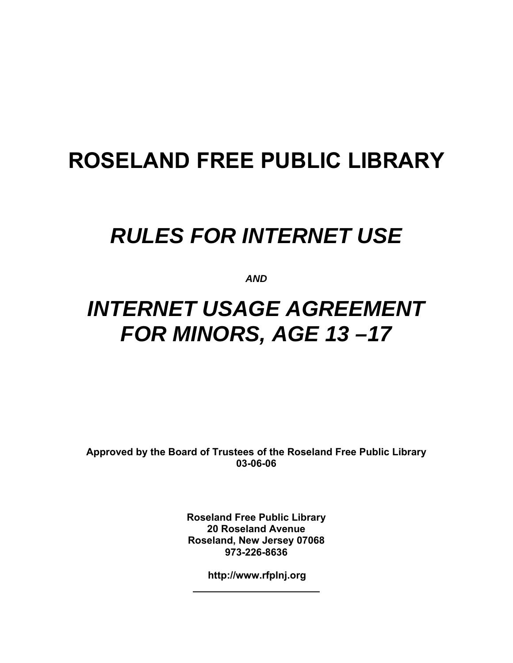# **ROSELAND FREE PUBLIC LIBRARY**

# *RULES FOR INTERNET USE*

*AND* 

# *INTERNET USAGE AGREEMENT FOR MINORS, AGE 13 –17*

**Approved by the Board of Trustees of the Roseland Free Public Library 03-06-06** 

> **Roseland Free Public Library 20 Roseland Avenue Roseland, New Jersey 07068 973-226-8636**

> > **<http://www.rfplnj.org>**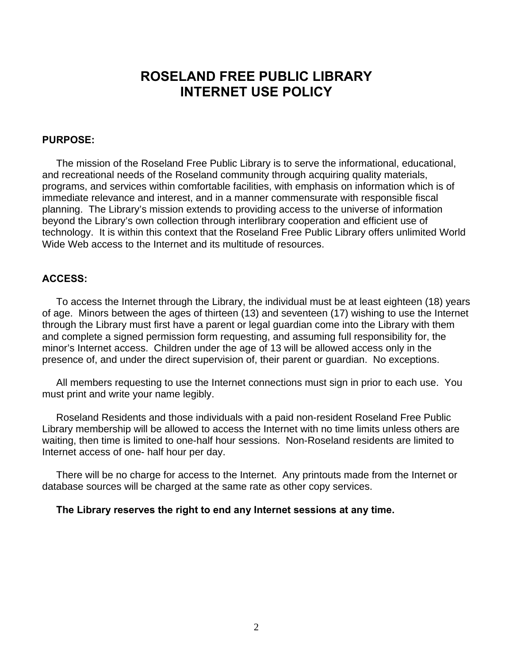### **ROSELAND FREE PUBLIC LIBRARY INTERNET USE POLICY**

#### **PURPOSE:**

 The mission of the Roseland Free Public Library is to serve the informational, educational, and recreational needs of the Roseland community through acquiring quality materials, programs, and services within comfortable facilities, with emphasis on information which is of immediate relevance and interest, and in a manner commensurate with responsible fiscal planning. The Library's mission extends to providing access to the universe of information beyond the Library's own collection through interlibrary cooperation and efficient use of technology. It is within this context that the Roseland Free Public Library offers unlimited World Wide Web access to the Internet and its multitude of resources.

#### **ACCESS:**

To access the Internet through the Library, the individual must be at least eighteen (18) years of age. Minors between the ages of thirteen (13) and seventeen (17) wishing to use the Internet through the Library must first have a parent or legal guardian come into the Library with them and complete a signed permission form requesting, and assuming full responsibility for, the minor's Internet access. Children under the age of 13 will be allowed access only in the presence of, and under the direct supervision of, their parent or guardian. No exceptions.

 All members requesting to use the Internet connections must sign in prior to each use. You must print and write your name legibly.

 Roseland Residents and those individuals with a paid non-resident Roseland Free Public Library membership will be allowed to access the Internet with no time limits unless others are waiting, then time is limited to one-half hour sessions. Non-Roseland residents are limited to Internet access of one- half hour per day.

 There will be no charge for access to the Internet. Any printouts made from the Internet or database sources will be charged at the same rate as other copy services.

#### **The Library reserves the right to end any Internet sessions at any time.**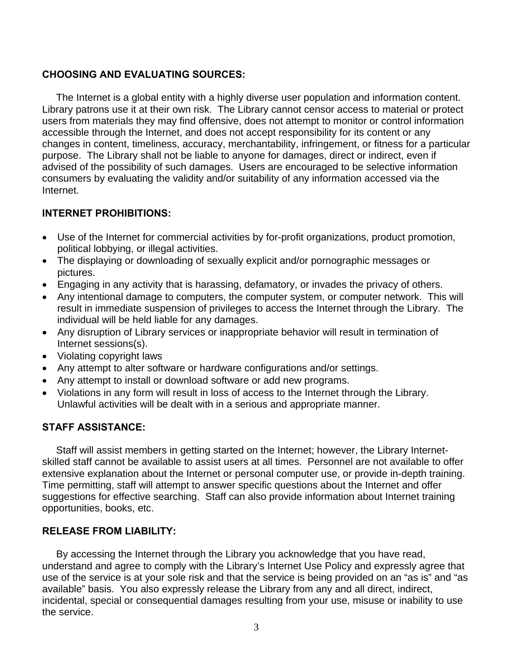#### **CHOOSING AND EVALUATING SOURCES:**

The Internet is a global entity with a highly diverse user population and information content. Library patrons use it at their own risk. The Library cannot censor access to material or protect users from materials they may find offensive, does not attempt to monitor or control information accessible through the Internet, and does not accept responsibility for its content or any changes in content, timeliness, accuracy, merchantability, infringement, or fitness for a particular purpose. The Library shall not be liable to anyone for damages, direct or indirect, even if advised of the possibility of such damages. Users are encouraged to be selective information consumers by evaluating the validity and/or suitability of any information accessed via the Internet.

#### **INTERNET PROHIBITIONS:**

- Use of the Internet for commercial activities by for-profit organizations, product promotion, political lobbying, or illegal activities.
- The displaying or downloading of sexually explicit and/or pornographic messages or pictures.
- Engaging in any activity that is harassing, defamatory, or invades the privacy of others.
- Any intentional damage to computers, the computer system, or computer network. This will result in immediate suspension of privileges to access the Internet through the Library. The individual will be held liable for any damages.
- Any disruption of Library services or inappropriate behavior will result in termination of Internet sessions(s).
- Violating copyright laws
- Any attempt to alter software or hardware configurations and/or settings.
- Any attempt to install or download software or add new programs.
- Violations in any form will result in loss of access to the Internet through the Library. Unlawful activities will be dealt with in a serious and appropriate manner.

#### **STAFF ASSISTANCE:**

Staff will assist members in getting started on the Internet; however, the Library Internetskilled staff cannot be available to assist users at all times. Personnel are not available to offer extensive explanation about the Internet or personal computer use, or provide in-depth training. Time permitting, staff will attempt to answer specific questions about the Internet and offer suggestions for effective searching. Staff can also provide information about Internet training opportunities, books, etc.

#### **RELEASE FROM LIABILITY:**

By accessing the Internet through the Library you acknowledge that you have read, understand and agree to comply with the Library's Internet Use Policy and expressly agree that use of the service is at your sole risk and that the service is being provided on an "as is" and "as available" basis. You also expressly release the Library from any and all direct, indirect, incidental, special or consequential damages resulting from your use, misuse or inability to use the service.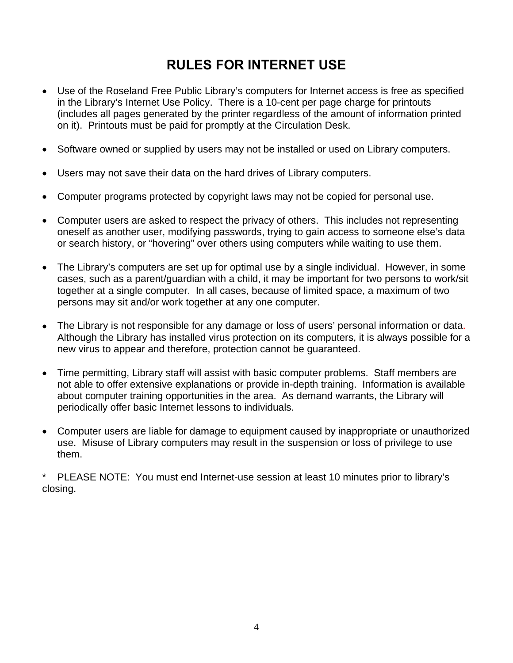### **RULES FOR INTERNET USE**

- Use of the Roseland Free Public Library's computers for Internet access is free as specified in the Library's Internet Use Policy. There is a 10-cent per page charge for printouts (includes all pages generated by the printer regardless of the amount of information printed on it). Printouts must be paid for promptly at the Circulation Desk.
- Software owned or supplied by users may not be installed or used on Library computers.
- Users may not save their data on the hard drives of Library computers.
- Computer programs protected by copyright laws may not be copied for personal use.
- Computer users are asked to respect the privacy of others. This includes not representing oneself as another user, modifying passwords, trying to gain access to someone else's data or search history, or "hovering" over others using computers while waiting to use them.
- The Library's computers are set up for optimal use by a single individual. However, in some cases, such as a parent/guardian with a child, it may be important for two persons to work/sit together at a single computer. In all cases, because of limited space, a maximum of two persons may sit and/or work together at any one computer.
- The Library is not responsible for any damage or loss of users' personal information or data. Although the Library has installed virus protection on its computers, it is always possible for a new virus to appear and therefore, protection cannot be guaranteed.
- Time permitting, Library staff will assist with basic computer problems. Staff members are not able to offer extensive explanations or provide in-depth training. Information is available about computer training opportunities in the area. As demand warrants, the Library will periodically offer basic Internet lessons to individuals.
- Computer users are liable for damage to equipment caused by inappropriate or unauthorized use. Misuse of Library computers may result in the suspension or loss of privilege to use them.

\* PLEASE NOTE: You must end Internet-use session at least 10 minutes prior to library's closing.